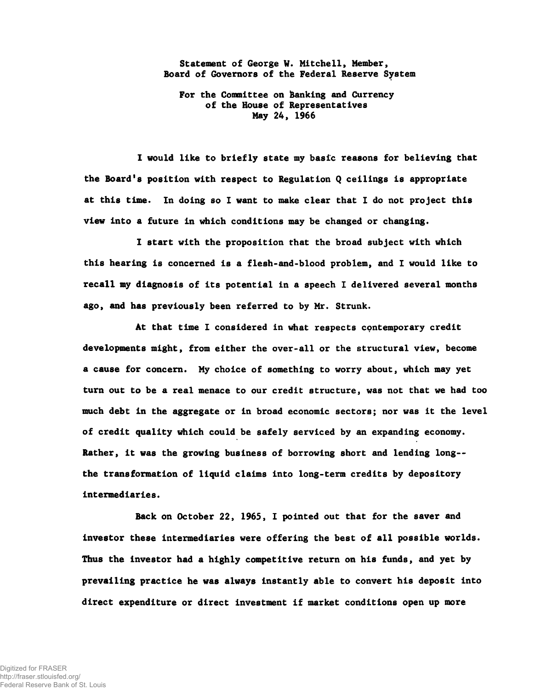Statement of George W. Mitchell, Member, Board of Governors of the Federal Reserve System

For the Conmittee on Banking and Currency of the House of Representatives May 24, 1966

I would like to briefly state my basic reasons for believing that the Board's position with respect to Regulation Q ceilings is appropriate at this time. In doing so I want to make clear that I do not project this view into a future in which conditions may be changed or changing.

I start with the proposition that the broad subject with which this hearing is concerned is a flesh-and-blood problem, and I would like to recall my diagnosis of its potential in a speech I delivered several months ago, and has previously been referred to by Mr. Strunk.

At that time I considered in What respects contemporary credit developments might, from either the over-all or the structural view, become a cause for concern. My choice of something to worry about, which may yet turn out to be a real menace to our credit structure, was not that we had too much debt in the aggregate or in broad economic sectors; nor was it the level of credit quality which could be safely serviced by an expanding economy. Rather, it was the growing business of borrowing short and lending long-the transformation of liquid claims into long-term credits by depository intermediaries.

Back on October 22, 1965, I pointed out that for the saver and investor these intermediaries were offering the best of all possible worlds. Thus the investor had a highly competitive return on his funds, and yet by prevailing practice he was always instantly able to convert his deposit into direct expenditure or direct investment if market conditions open up more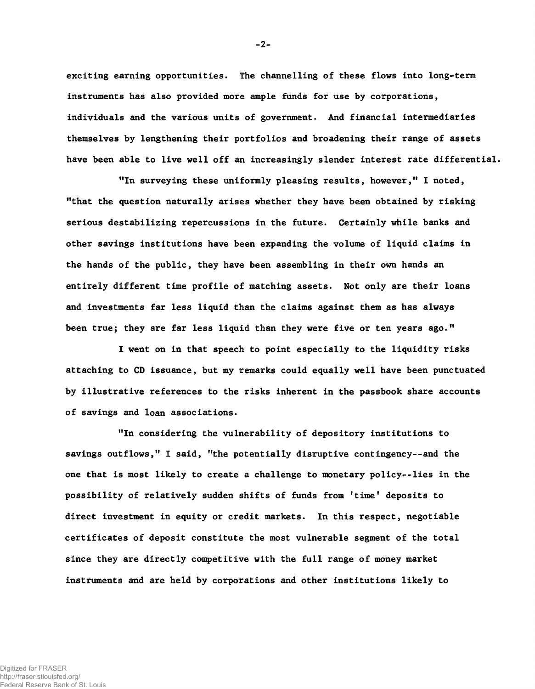exciting earning opportunities. The channelling of these flows into long-term instruments has also provided more ample funds for use by corporations, individuals and the various units of government. And financial intermediaries themselves by lengthening their portfolios and broadening their range of assets have been able to live well off an increasingly slender interest rate differential.

"In surveying these uniformly pleasing results, however," I noted, "that the question naturally arises whether they have been obtained by risking serious destabilizing repercussions in the future. Certainly while banks and other savings institutions have been expanding the volume of liquid claims in the hands of the public, they have been assembling in their own hands an entirely different time profile of matching assets. Not only are their loans and investments far less liquid than the claims against them as has always been true; they are far less liquid than they were five or ten years ago."

I went on in that speech to point especially to the liquidity risks attaching to CD issuance, but my remarks could equally well have been punctuated by illustrative references to the risks inherent in the passbook share accounts of savings and loan associations.

"In considering the vulnerability of depository institutions to savings outflows," I said, "the potentially disruptive contingency--and the one that is most likely to create a challenge to monetary policy--lies in the possibility of relatively sudden shifts of funds from 'time' deposits to direct investment in equity or credit markets. In this respect, negotiable certificates of deposit constitute the most vulnerable segment of the total since they are directly competitive with the full range of money market instruments and are held by corporations and other institutions likely to

-2-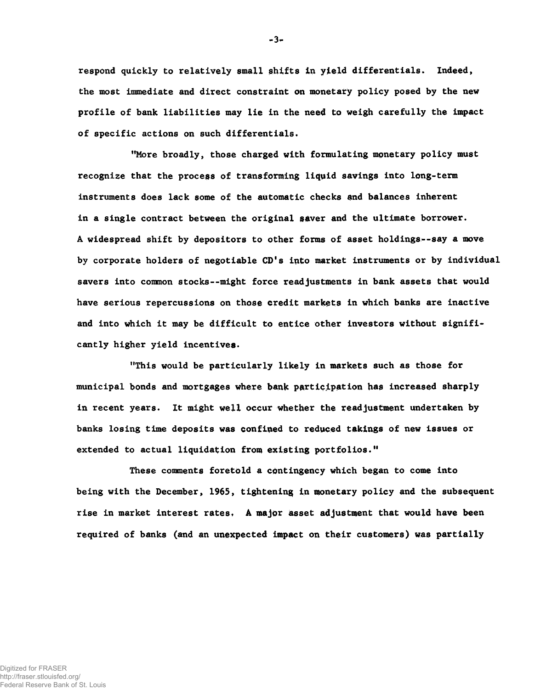respond quickly to relatively small shifts in yield differentials. Indeed, the most immediate and direct constraint on monetary policy posed by the new profile of bank liabilities may lie in the need to weigh carefully the impact of specific actions on such differentials.

"More broadly, those charged with formulating monetary policy must recognize that the process of transforming liquid savings into long-term instruments does lack some of the automatic checks and balances inherent in a single contract between the original saver and the ultimate borrower. A widespread shift by depositors to other forms of asset holdings--say a move by corporate holders of negotiable CD's into market instruments or by individual savers into common stocks--might force readjustments in bank assets that would have serious repercussions on those credit markets in which banks are inactive and into which it may be difficult to entice other investors without significantly higher yield incentives.

"This would be particularly likely in markets such as those for municipal bonds and mortgages where bank participation has increased sharply in recent years. It might well occur whether the readjustment undertaken by banks losing time deposits was confined to reduced takings of new issues or extended to actual liquidation from existing portfolios."

These comments foretold a contingency which began to come into being with the December, 1965, tightening in monetary policy and the subsequent rise in market interest rates, A major asset adjustment that would have been required of banks (and an unexpected impact on their customers) was partially

-3-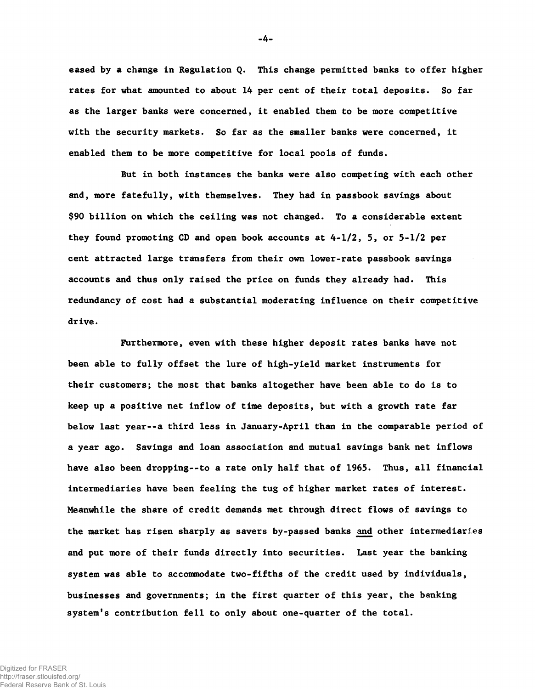eased by a change in Regulation Q. This change permitted banks to offer higher rates for what amounted to about 14 per cent of their total deposits. So far as the larger banks were concerned, it enabled them to be more competitive with the security markets. So far as the smaller banks were concerned, it enabled them to be more competitive for local pools of funds.

But in both instances the banks were also competing with each other and, more fatefully, with themselves. They had in passbook savings about \$90 billion on which the ceiling was not changed. To a considerable extent they found promoting CD and open book accounts at  $4-1/2$ , 5, or  $5-1/2$  per cent attracted large transfers from their own lower-rate passbook savings accounts and thus only raised the price on funds they already had. This redundancy of cost had a substantial moderating influence on their competitive drive.

Furthermore, even with these higher deposit rates banks have not been able to fully offset the lure of high-yield market instruments for their customers; the most that banks altogether have been able to do is to keep up a positive net inflow of time deposits, but with a growth rate far below last year--a third less in January-April than in the comparable period of a year ago. Savings and loan association and mutual savings bank net inflows have also been dropping--to a rate only half that of 1965. Thus, all financial intermediaries have been feeling the tug of higher market rates of interest. Meanwhile the share of credit demands met through direct flows of savings to the market has risen sharply as savers by-passed banks and other intermediaries and put more of their funds directly into securities. Last year the banking system was able to accommodate two-fifths of the credit used by individuals, businesses and governments; in the first quarter of this year, the banking system's contribution fell to only about one-quarter of the total.

-4-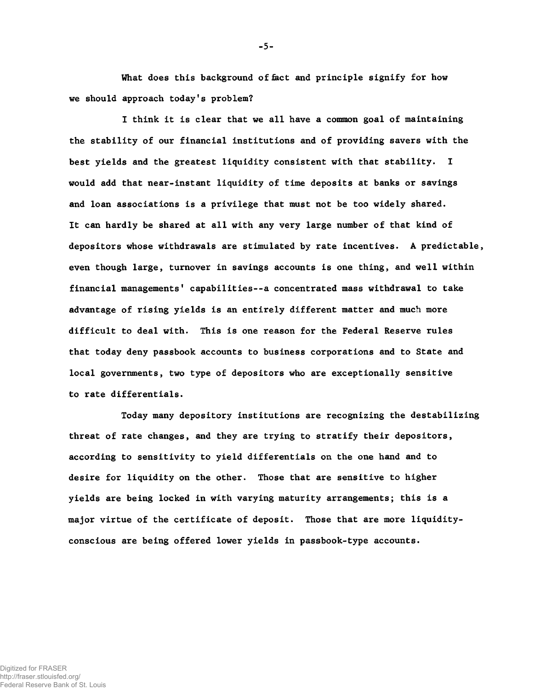we should approach today's problem?

I think it is clear that we all have a common goal of maintaining the stability of our financial institutions and of providing savers with the best yields and the greatest liquidity consistent with that stability. I would add that near-instant liquidity of time deposits at banks or savings and loan associations is a privilege that must not be too widely shared. It can hardly be shared at all with any very large number of that kind of depositors whose withdrawals are stimulated by rate incentives. A predictable, even though large, turnover in savings accounts is one thing, and well within financial managements' capabilities--a concentrated mass withdrawal to take advantage of rising yields is an entirely different matter and much more difficult to deal with. This is one reason for the Federal Reserve rules that today deny passbook accounts to business corporations and to State and local governments, two type of depositors who are exceptionally sensitive to rate differentials.

Today many depository institutions are recognizing the destabilizing threat of rate changes, and they are trying to stratify their depositors, according to sensitivity to yield differentials on the one hand and to desire for liquidity on the other. Those that are sensitive to higher yields are being locked in with varying maturity arrangements; this is a major virtue of the certificate of deposit. Those that are more liquidityconscious are being offered lower yields in passbook-type accounts.

What does this background of fact and principle signify for how

-5-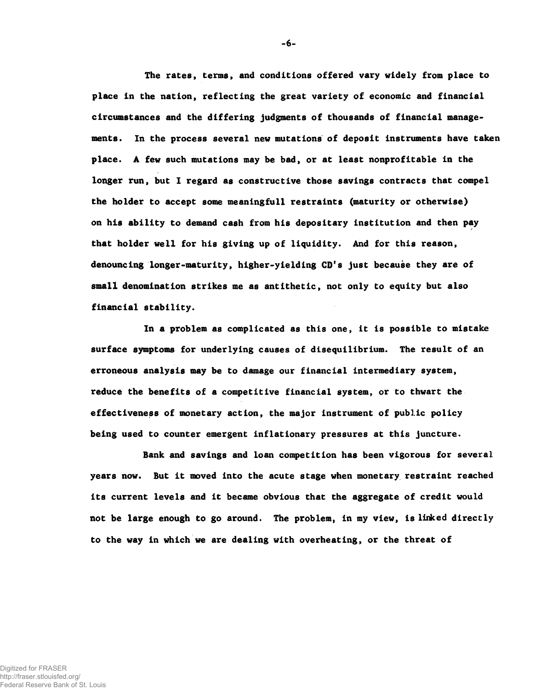The rates, terms, and conditions offered vary widely from place to place in the nation, reflecting the great variety of economic and financial circumstances and the differing judgments of thousands of financial managements. In the process several new mutations of deposit instruments have taken place. A few such mutations may be bad, or at least nonprofitable in the longer run, but I regard as constructive those savings contracts that compel the holder to accept some meaningfull restraints (maturity or otherwise) on his ability to demand cash from his depositary institution and then pay that holder well for his giving up of liquidity. And for this reason, denouncing longer-maturity, higher-yielding CD's just because they are of small denomination strikes me as antithetic, not only to equity but also financial stability.

In a problem as complicated as this one, it is possible to mistake surface symptoms for underlying causes of disequilibrium. The result of an erroneous analysis may be to damage our financial intermediary system, reduce the benefits of a competitive financial system, or to thwart the effectiveness of monetary action, the major instrument of public policy being used to counter emergent inflationary pressures at this juncture.

Bank and savings and loan competition has been vigorous for several years now. But it moved into the acute stage when monetary restraint reached its current levels and it became obvious that the aggregate of credit would not be large enough to go around. The problem, in my view, is linked directly to the way in which we are dealing with overheating, or the threat of

-6-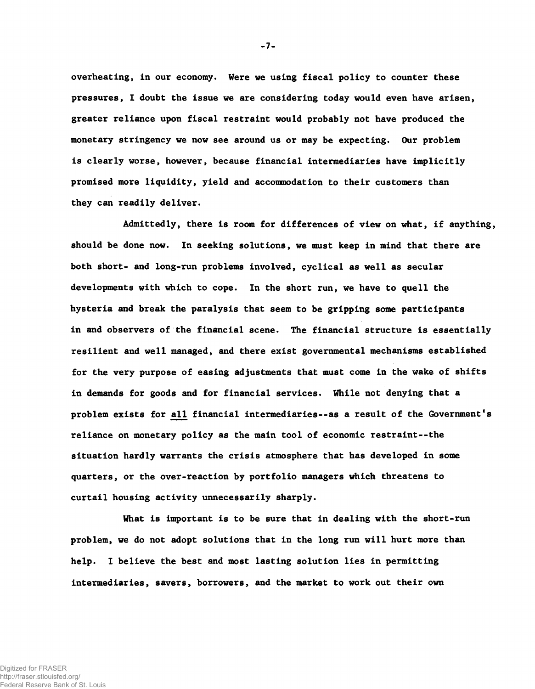overheating, in our economy. Were we using fiscal policy to counter these pressures, I doubt the issue we are considering today would even have arisen, greater reliance upon fiscal restraint would probably not have produced the monetary stringency we now see around us or may be expecting. Our problem is clearly worse, however, because financial intermediaries have implicitly promised more liquidity, yield and accommodation to their customers than they can readily deliver.

Admittedly, there is room for differences of view on what, if anything, should be done now. In seeking solutions, we must keep in mind that there are both short- and long-run problems involved, cyclical as well as secular developments with which to cope. In the short run, we have to quell the hysteria and break the paralysis that seem to be gripping some participants in and observers of the financial scene. The financial structure is essentially resilient and well managed, and there exist governmental mechanisms established for the very purpose of easing adjustments that must come in the wake of shifts in demands for goods and for financial services. While not denying that a problem exists for all financial intermediaries--as a result of the Government's reliance on monetary policy as the main tool of economic restraint— the situation hardly warrants the crisis atmosphere that has developed in some quarters, or the over-reaction by portfolio managers which threatens to curtail housing activity unnecessarily sharply.

What is important is to be sure that in dealing with the short-run problem, we do not adopt solutions that in the long run will hurt more than help. I believe the best and most lasting solution lies in permitting intermediaries, savers, borrowers, and the market to work out their own

-7-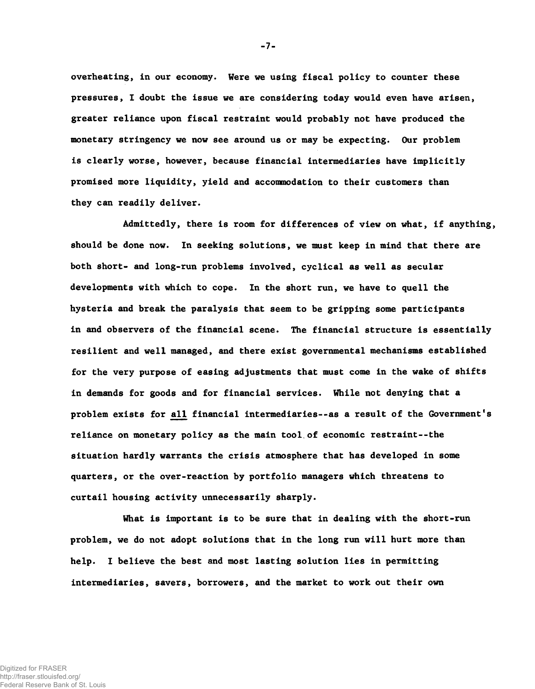overheating, in our economy. Were we using fiscal policy to counter these pressures, I doubt the issue we are considering today would even have arisen, greater reliance upon fiscal restraint would probably not have produced the monetary stringency we now see around us or may be expecting. Our problem is clearly worse, however, because financial intermediaries have implicitly promised more liquidity, yield and accommodation to their customers than they can readily deliver.

Admittedly, there is room for differences of view on what, if anything, should be done now. In seeking solutions, we must keep in mind that there are both short- and long-run problems involved, cyclical as well as secular developments with which to cope. In the short run, we have to quell the hysteria and break the paralysis that seem to be gripping some participants in and observers of the financial scene. The financial structure is essentially resilient and well managed, and there exist governmental mechanisms established for the very purpose of easing adjustments that must come in the wake of shifts in demands for goods and for financial services. While not denying that a problem exists for all financial intermediaries--as a result of the Government's reliance on monetary policy as the main tool.of economic restraint— the situation hardly warrants the crisis atmosphere that has developed in some quarters, or the over-reaction by portfolio managers which threatens to curtail housing activity unnecessarily sharply.

What is important is to be sure that in dealing with the short-run problem, we do not adopt solutions that in the long run will hurt more than help. I believe the best and most lasting solution lies in permitting intermediaries, savers, borrowers, and the market to work out their own

-7-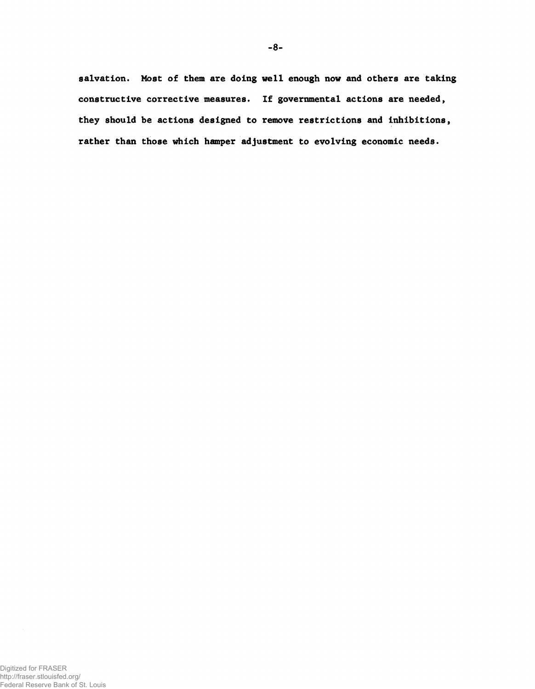salvation. Most of them are doing well enough now and others are taking constructive corrective measures. If governmental actions are needed, they should be actions designed to remove restrictions and inhibitions, rather than those which hamper adjustment to evolving economic needs.

http://fraser.stlouisfed.org/ Federal Reserve Bank of St. Louis

 $\bar{z}$